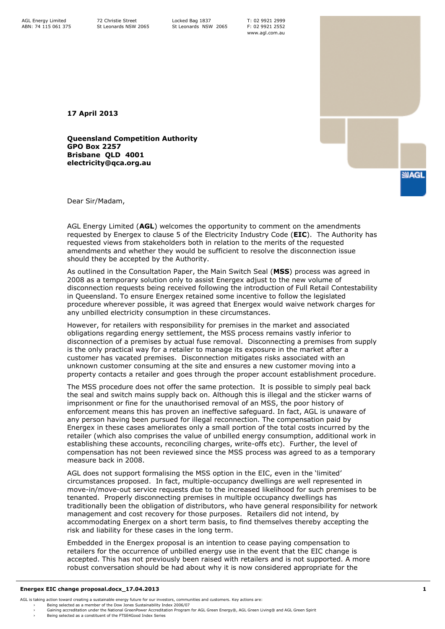T: 02 9921 2999 F: 02 9921 2552 www.agl.com.au

**17 April 2013**

**Queensland Competition Authority GPO Box 2257 Brisbane QLD 4001 electricity@qca.org.au**



Dear Sir/Madam,

AGL Energy Limited (**AGL**) welcomes the opportunity to comment on the amendments requested by Energex to clause 5 of the Electricity Industry Code (**EIC**). The Authority has requested views from stakeholders both in relation to the merits of the requested amendments and whether they would be sufficient to resolve the disconnection issue should they be accepted by the Authority.

As outlined in the Consultation Paper, the Main Switch Seal (**MSS**) process was agreed in 2008 as a temporary solution only to assist Energex adjust to the new volume of disconnection requests being received following the introduction of Full Retail Contestability in Queensland. To ensure Energex retained some incentive to follow the legislated procedure wherever possible, it was agreed that Energex would waive network charges for any unbilled electricity consumption in these circumstances.

However, for retailers with responsibility for premises in the market and associated obligations regarding energy settlement, the MSS process remains vastly inferior to disconnection of a premises by actual fuse removal. Disconnecting a premises from supply is the only practical way for a retailer to manage its exposure in the market after a customer has vacated premises. Disconnection mitigates risks associated with an unknown customer consuming at the site and ensures a new customer moving into a property contacts a retailer and goes through the proper account establishment procedure.

The MSS procedure does not offer the same protection. It is possible to simply peal back the seal and switch mains supply back on. Although this is illegal and the sticker warns of imprisonment or fine for the unauthorised removal of an MSS, the poor history of enforcement means this has proven an ineffective safeguard. In fact, AGL is unaware of any person having been pursued for illegal reconnection. The compensation paid by Energex in these cases ameliorates only a small portion of the total costs incurred by the retailer (which also comprises the value of unbilled energy consumption, additional work in establishing these accounts, reconciling charges, write-offs etc). Further, the level of compensation has not been reviewed since the MSS process was agreed to as a temporary measure back in 2008.

AGL does not support formalising the MSS option in the EIC, even in the 'limited' circumstances proposed. In fact, multiple-occupancy dwellings are well represented in move-in/move-out service requests due to the increased likelihood for such premises to be tenanted. Properly disconnecting premises in multiple occupancy dwellings has traditionally been the obligation of distributors, who have general responsibility for network management and cost recovery for those purposes. Retailers did not intend, by accommodating Energex on a short term basis, to find themselves thereby accepting the risk and liability for these cases in the long term.

Embedded in the Energex proposal is an intention to cease paying compensation to retailers for the occurrence of unbilled energy use in the event that the EIC change is accepted. This has not previously been raised with retailers and is not supported. A more robust conversation should be had about why it is now considered appropriate for the

## **Energex EIC change proposal.docx\_17.04.2013 1**

- AGL is taking action toward creating a sustainable energy future for our investors, communities and customers. Key actions are:
	-
	- › Being selected as a member of the Dow Jones Sustainability Index 2006/07 › Gaining accreditation under the National GreenPower Accreditation Program for AGL Green Energy®, AGL Green Living® and AGL Green Spirit
	- Being selected as a constituent of the FTSE4Good Index Series